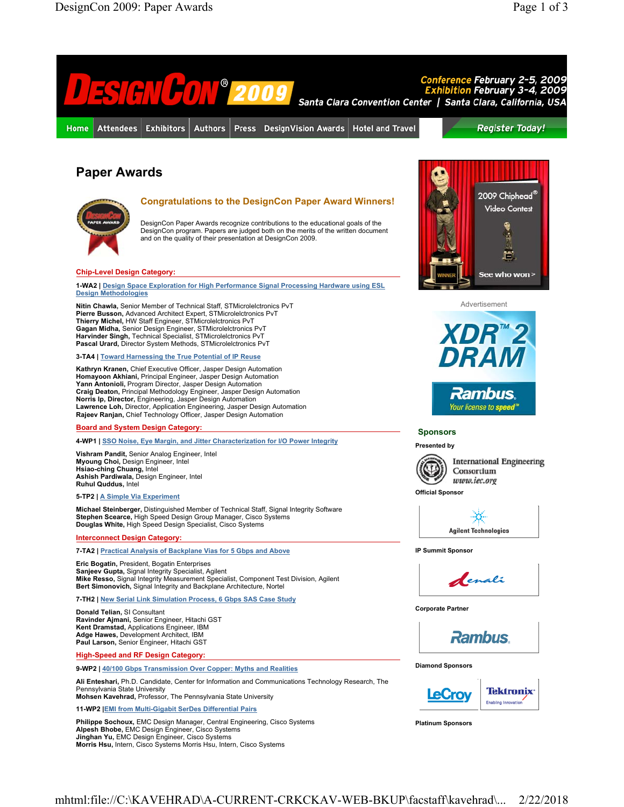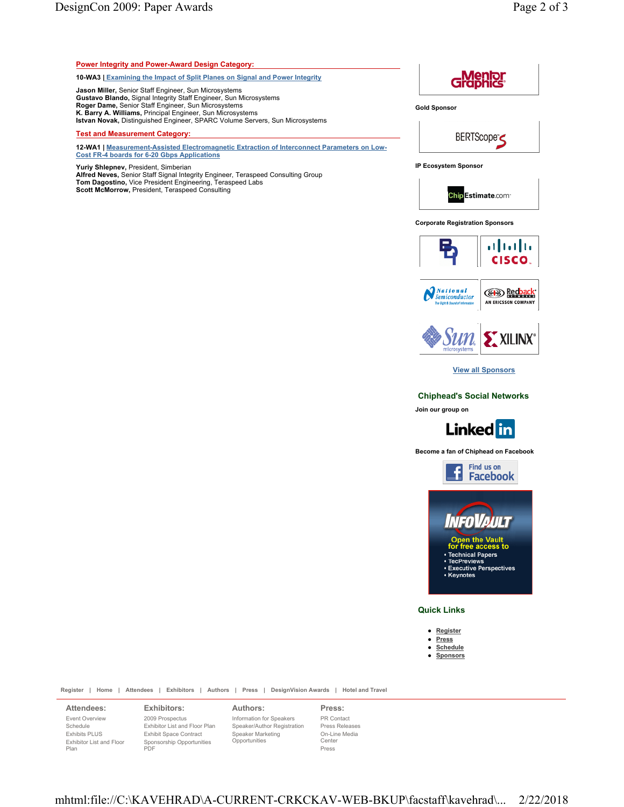## **Power Integrity and Power-Award Design Category:** Graphics **10-WA3 | Examining the Impact of Split Planes on Signal and Power Integrity Jason Miller,** Senior Staff Engineer, Sun Microsystems<br>**Gustavo Blando,** Signal Integrity Staff Engineer, Sun Microsystems<br>**Roger Dame,** Senior Staff Engineer, Sun Microsystems **Gold Sponsor K. Barry A. Williams,** Principal Engineer, Sun Microsystems **Istvan Novak,** Distinguished Engineer, SPARC Volume Servers, Sun Microsystems **Test and Measurement Category:** BERTScope<sup>®</sup> **12-WA1 | Measurement-Assisted Electromagnetic Extraction of Interconnect Parameters on Low-Cost FR-4 boards for 6-20 Gbps Applications Yuriy Shlepnev,** President, Simberian **IP Ecosystem Sponsor Alfred Neves,** Senior Staff Signal Integrity Engineer, Teraspeed Consulting Group **Tom Dagostino,** Vice President Engineering, Teraspeed Labs **Scott McMorrow,** President, Teraspeed Consulting **Chip Estimate.com**



**Corporate Registration Sponsors**

**Become a fan of Chiphead on Facebook**





**Quick Links**

- **Register**
- **Press Schedule**
- **Sponsors**

**Register | Home | Attendees | Exhibitors | Authors | Press | DesignVision Awards | Hotel and Travel**

**Attendees:**

## **Exhibitors:**

Event Overview Schedule Exhibits PLUS Exhibitor List and Floor Plan

2009 Prospectus Exhibitor List and Floor Plan Exhibit Space Contract

Sponsorship Opportunities PDF

## **Authors:**

Information for Speakers Speaker/Author Registration Speaker Marketing Opportunities

**Press:** PR Contact Press Releases On-Line Media **Center** Press

mhtml:file://C:\KAVEHRAD\A-CURRENT-CRKCKAV-WEB-BKUP\facstaff\kavehrad\... 2/22/2018